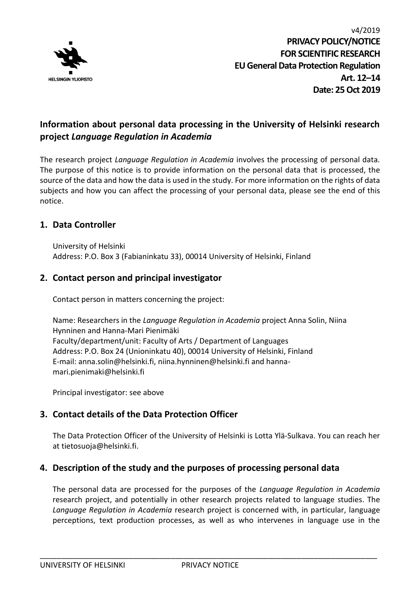

# **Information about personal data processing in the University of Helsinki research project** *Language Regulation in Academia*

The research project *Language Regulation in Academia* involves the processing of personal data. The purpose of this notice is to provide information on the personal data that is processed, the source of the data and how the data is used in the study. For more information on the rights of data subjects and how you can affect the processing of your personal data, please see the end of this notice.

## **1. Data Controller**

University of Helsinki Address: P.O. Box 3 (Fabianinkatu 33), 00014 University of Helsinki, Finland

## **2. Contact person and principal investigator**

Contact person in matters concerning the project:

Name: Researchers in the *Language Regulation in Academia* project Anna Solin, Niina Hynninen and Hanna-Mari Pienimäki Faculty/department/unit: Faculty of Arts / Department of Languages Address: P.O. Box 24 (Unioninkatu 40), 00014 University of Helsinki, Finland E-mail: anna.solin@helsinki.fi, niina.hynninen@helsinki.fi and hannamari.pienimaki@helsinki.fi

Principal investigator: see above

# **3. Contact details of the Data Protection Officer**

The Data Protection Officer of the University of Helsinki is Lotta Ylä-Sulkava. You can reach her at tietosuoja@helsinki.fi.

## **4. Description of the study and the purposes of processing personal data**

The personal data are processed for the purposes of the *Language Regulation in Academia* research project, and potentially in other research projects related to language studies. The *Language Regulation in Academia* research project is concerned with, in particular, language perceptions, text production processes, as well as who intervenes in language use in the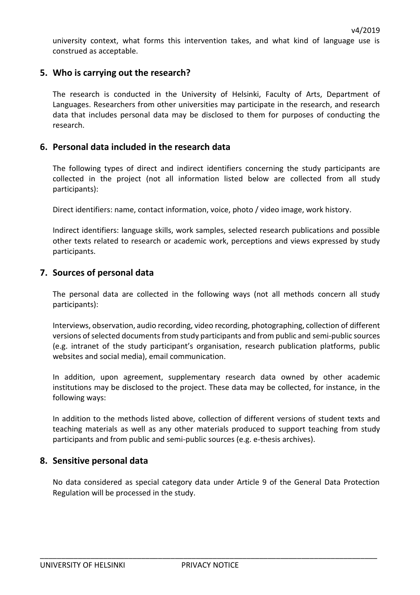university context, what forms this intervention takes, and what kind of language use is construed as acceptable.

### **5. Who is carrying out the research?**

The research is conducted in the University of Helsinki, Faculty of Arts, Department of Languages. Researchers from other universities may participate in the research, and research data that includes personal data may be disclosed to them for purposes of conducting the research.

#### **6. Personal data included in the research data**

The following types of direct and indirect identifiers concerning the study participants are collected in the project (not all information listed below are collected from all study participants):

Direct identifiers: name, contact information, voice, photo / video image, work history.

Indirect identifiers: language skills, work samples, selected research publications and possible other texts related to research or academic work, perceptions and views expressed by study participants.

### **7. Sources of personal data**

The personal data are collected in the following ways (not all methods concern all study participants):

Interviews, observation, audio recording, video recording, photographing, collection of different versions of selected documents from study participants and from public and semi-public sources (e.g. intranet of the study participant's organisation, research publication platforms, public websites and social media), email communication.

In addition, upon agreement, supplementary research data owned by other academic institutions may be disclosed to the project. These data may be collected, for instance, in the following ways:

In addition to the methods listed above, collection of different versions of student texts and teaching materials as well as any other materials produced to support teaching from study participants and from public and semi-public sources (e.g. e-thesis archives).

#### **8. Sensitive personal data**

No data considered as special category data under Article 9 of the General Data Protection Regulation will be processed in the study.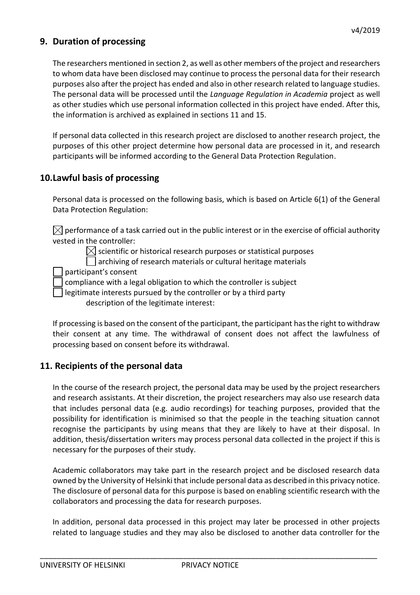## **9. Duration of processing**

The researchers mentioned in section 2, as well as other members of the project and researchers to whom data have been disclosed may continue to process the personal data for their research purposes also after the project has ended and also in other research related to language studies. The personal data will be processed until the *Language Regulation in Academia* project as well as other studies which use personal information collected in this project have ended. After this, the information is archived as explained in sections 11 and 15.

If personal data collected in this research project are disclosed to another research project, the purposes of this other project determine how personal data are processed in it, and research participants will be informed according to the General Data Protection Regulation.

## **10.Lawful basis of processing**

Personal data is processed on the following basis, which is based on Article 6(1) of the General Data Protection Regulation:

 $\boxtimes$  performance of a task carried out in the public interest or in the exercise of official authority vested in the controller:

> $\boxtimes$  scientific or historical research purposes or statistical purposes archiving of research materials or cultural heritage materials

participant's consent

compliance with a legal obligation to which the controller is subject

legitimate interests pursued by the controller or by a third party

description of the legitimate interest:

If processing is based on the consent of the participant, the participant has the right to withdraw their consent at any time. The withdrawal of consent does not affect the lawfulness of processing based on consent before its withdrawal.

## **11. Recipients of the personal data**

In the course of the research project, the personal data may be used by the project researchers and research assistants. At their discretion, the project researchers may also use research data that includes personal data (e.g. audio recordings) for teaching purposes, provided that the possibility for identification is minimised so that the people in the teaching situation cannot recognise the participants by using means that they are likely to have at their disposal. In addition, thesis/dissertation writers may process personal data collected in the project if this is necessary for the purposes of their study.

Academic collaborators may take part in the research project and be disclosed research data owned by the University of Helsinki that include personal data as described in this privacy notice. The disclosure of personal data for this purpose is based on enabling scientific research with the collaborators and processing the data for research purposes.

In addition, personal data processed in this project may later be processed in other projects related to language studies and they may also be disclosed to another data controller for the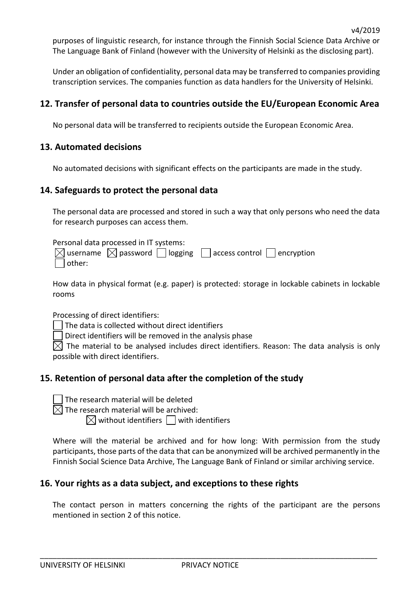purposes of linguistic research, for instance through the Finnish Social Science Data Archive or The Language Bank of Finland (however with the University of Helsinki as the disclosing part).

Under an obligation of confidentiality, personal data may be transferred to companies providing transcription services. The companies function as data handlers for the University of Helsinki.

## **12. Transfer of personal data to countries outside the EU/European Economic Area**

No personal data will be transferred to recipients outside the European Economic Area.

## **13. Automated decisions**

No automated decisions with significant effects on the participants are made in the study.

### **14. Safeguards to protect the personal data**

The personal data are processed and stored in such a way that only persons who need the data for research purposes can access them.

Personal data processed in IT systems:

|               |  | $\boxtimes$ username $\boxtimes$ password $\Box$ logging $\Box$ access control $\Box$ encryption |  |
|---------------|--|--------------------------------------------------------------------------------------------------|--|
| $\Box$ other: |  |                                                                                                  |  |

How data in physical format (e.g. paper) is protected: storage in lockable cabinets in lockable rooms

Processing of direct identifiers:

The data is collected without direct identifiers

Direct identifiers will be removed in the analysis phase  $\blacksquare$ 

 $\boxtimes$  The material to be analysed includes direct identifiers. Reason: The data analysis is only possible with direct identifiers.

# **15. Retention of personal data after the completion of the study**

The research material will be deleted

 $\boxtimes$  The research material will be archived:

 $\boxtimes$  without identifiers  $\Box$  with identifiers

Where will the material be archived and for how long: With permission from the study participants, those parts of the data that can be anonymized will be archived permanently in the Finnish Social Science Data Archive, The Language Bank of Finland or similar archiving service.

## **16. Your rights as a data subject, and exceptions to these rights**

The contact person in matters concerning the rights of the participant are the persons mentioned in section 2 of this notice.